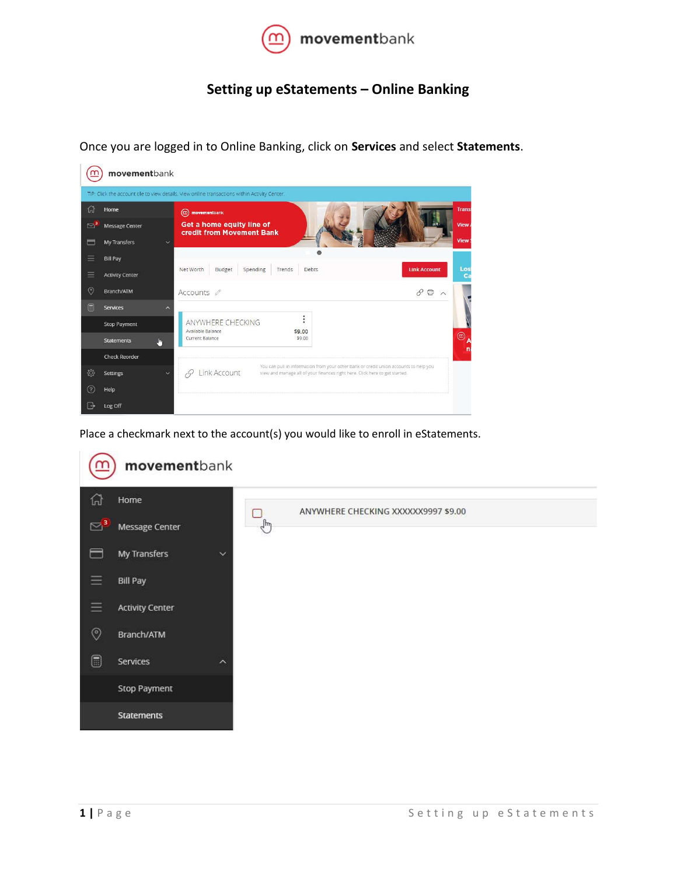

## Setting up eStatements – Online Banking

Once you are logged in to Online Banking, click on Services and select Statements.

| movementbank                                                                                  |                                            |                                                                                                                                                                                      |                                              |  |  |  |  |  |  |  |  |  |
|-----------------------------------------------------------------------------------------------|--------------------------------------------|--------------------------------------------------------------------------------------------------------------------------------------------------------------------------------------|----------------------------------------------|--|--|--|--|--|--|--|--|--|
| TIP: Click the account tile to view details. View online transactions within Activity Center. |                                            |                                                                                                                                                                                      |                                              |  |  |  |  |  |  |  |  |  |
| क़                                                                                            | Home                                       | $\circledR$ movementbank                                                                                                                                                             | Trans                                        |  |  |  |  |  |  |  |  |  |
| $\boxtimes$                                                                                   | Message Center                             | Get a home equity line of<br>credit from Movement Bank                                                                                                                               |                                              |  |  |  |  |  |  |  |  |  |
| ⊟                                                                                             | My Transfers<br>$\checkmark$               |                                                                                                                                                                                      |                                              |  |  |  |  |  |  |  |  |  |
| Ξ                                                                                             | <b>Bill Pay</b>                            |                                                                                                                                                                                      |                                              |  |  |  |  |  |  |  |  |  |
| Ξ                                                                                             | <b>Activity Center</b>                     | Budget<br>Spending<br>Debts<br>Net Worth<br>Trends                                                                                                                                   | Los<br><b>Link Account</b><br>c <sub>z</sub> |  |  |  |  |  |  |  |  |  |
| $\circledcirc$                                                                                | Branch/ATM                                 | Accounts <i>Ø</i>                                                                                                                                                                    | 日へ<br>P                                      |  |  |  |  |  |  |  |  |  |
| A                                                                                             | <b>Services</b><br>$\widehat{\phantom{a}}$ |                                                                                                                                                                                      |                                              |  |  |  |  |  |  |  |  |  |
|                                                                                               | <b>Stop Payment</b>                        | ÷<br>ANYWHERE CHECKING<br>Available Balance<br>\$9.00                                                                                                                                |                                              |  |  |  |  |  |  |  |  |  |
|                                                                                               | J.<br><b>Statements</b>                    | Current Balance<br>\$9.00                                                                                                                                                            | $^{\circledR}$ A<br>n                        |  |  |  |  |  |  |  |  |  |
|                                                                                               | <b>Check Reorder</b>                       |                                                                                                                                                                                      |                                              |  |  |  |  |  |  |  |  |  |
| ☆                                                                                             | Settings<br>$\checkmark$                   | You can pull in information from your other bank or credit union accounts to help you<br>Link Account<br>view and manage all of your finances right here. Click here to get started. |                                              |  |  |  |  |  |  |  |  |  |
| (2)                                                                                           | Help                                       |                                                                                                                                                                                      |                                              |  |  |  |  |  |  |  |  |  |
| G                                                                                             | Log Off                                    |                                                                                                                                                                                      |                                              |  |  |  |  |  |  |  |  |  |

Place a checkmark next to the account(s) you would like to enroll in eStatements.

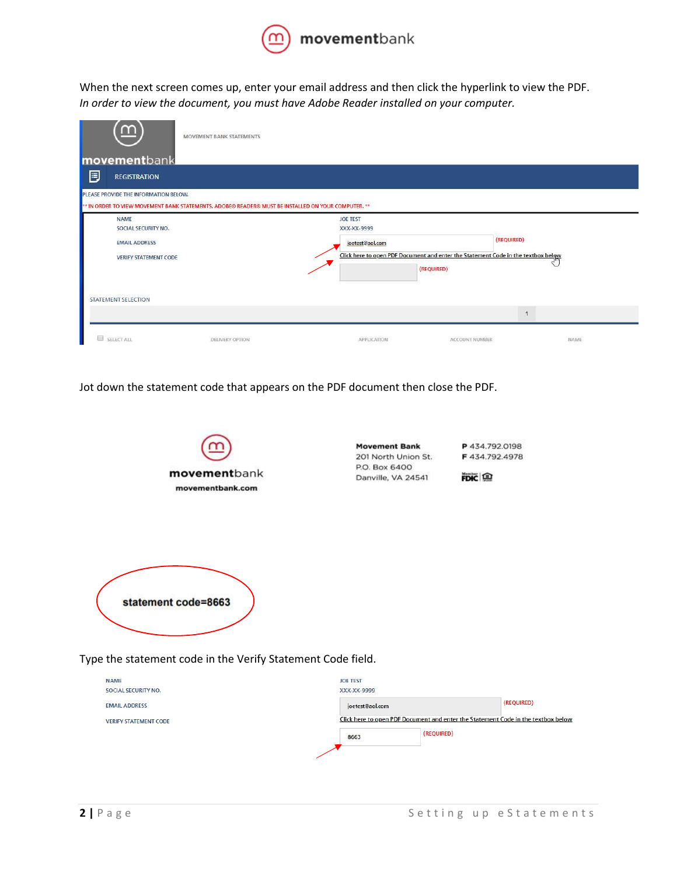

When the next screen comes up, enter your email address and then click the hyperlink to view the PDF. In order to view the document, you must have Adobe Reader installed on your computer.

| $\overline{m}$<br>MOVEMENT BANK STATEMENTS                                                          |                        |                                                                                   |                       |            |      |  |  |  |  |  |  |
|-----------------------------------------------------------------------------------------------------|------------------------|-----------------------------------------------------------------------------------|-----------------------|------------|------|--|--|--|--|--|--|
| movementbank                                                                                        |                        |                                                                                   |                       |            |      |  |  |  |  |  |  |
| 厚<br><b>REGISTRATION</b>                                                                            |                        |                                                                                   |                       |            |      |  |  |  |  |  |  |
| PLEASE PROVIDE THE INFORMATION BELOW.                                                               |                        |                                                                                   |                       |            |      |  |  |  |  |  |  |
| ** IN ORDER TO VIEW MOVEMENT BANK STATEMENTS, ADOBE® READER® MUST BE INSTALLED ON YOUR COMPUTER. ** |                        |                                                                                   |                       |            |      |  |  |  |  |  |  |
| <b>NAME</b>                                                                                         |                        | <b>JOE TEST</b>                                                                   |                       |            |      |  |  |  |  |  |  |
| SOCIAL SECURITY NO.                                                                                 |                        | XXX-XX-9999                                                                       |                       |            |      |  |  |  |  |  |  |
| <b>EMAIL ADDRESS</b>                                                                                |                        | joetest@aol.com                                                                   |                       | (REQUIRED) |      |  |  |  |  |  |  |
| <b>VERIFY STATEMENT CODE</b>                                                                        |                        | Click here to open PDF Document and enter the Statement Code in the textbox below |                       |            |      |  |  |  |  |  |  |
|                                                                                                     |                        |                                                                                   | (REQUIRED)            |            |      |  |  |  |  |  |  |
|                                                                                                     |                        |                                                                                   |                       |            |      |  |  |  |  |  |  |
| STATEMENT SELECTION                                                                                 |                        |                                                                                   |                       |            |      |  |  |  |  |  |  |
|                                                                                                     |                        |                                                                                   |                       |            |      |  |  |  |  |  |  |
|                                                                                                     |                        |                                                                                   |                       |            |      |  |  |  |  |  |  |
|                                                                                                     |                        |                                                                                   |                       |            |      |  |  |  |  |  |  |
| SELECT ALL                                                                                          | <b>DELIVERY OPTION</b> | APPLICATION                                                                       | <b>ACCOUNT NUMBER</b> |            | NAME |  |  |  |  |  |  |

Jot down the statement code that appears on the PDF document then close the PDF.



Type the statement code in the Verify Statement Code field.

| <b>NAME</b><br>SOCIAL SECURITY NO. | <b>JOE TEST</b><br>XXX-XX-9999                                                    |            |            |
|------------------------------------|-----------------------------------------------------------------------------------|------------|------------|
| <b>EMAIL ADDRESS</b>               | joetest@aol.com                                                                   |            | (REQUIRED) |
| <b>VERIFY STATEMENT CODE</b>       | Click here to open PDF Document and enter the Statement Code in the textbox below |            |            |
|                                    | 8663                                                                              | (REQUIRED) |            |
|                                    |                                                                                   |            |            |